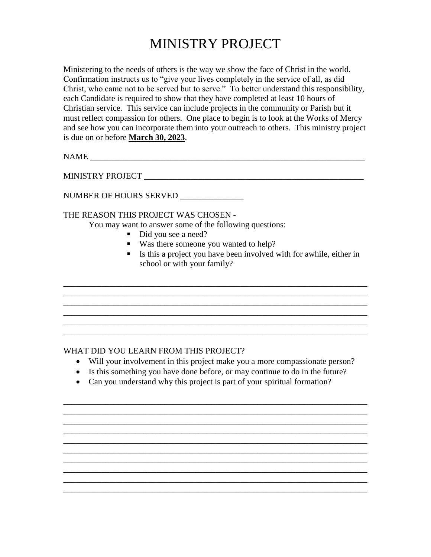## MINISTRY PROJECT

Ministering to the needs of others is the way we show the face of Christ in the world. Confirmation instructs us to "give your lives completely in the service of all, as did Christ, who came not to be served but to serve." To better understand this responsibility, each Candidate is required to show that they have completed at least 10 hours of Christian service. This service can include projects in the community or Parish but it must reflect compassion for others. One place to begin is to look at the Works of Mercy and see how you can incorporate them into your outreach to others. This ministry project is due on or before **March 30, 2023**.

NAME

MINISTRY PROJECT \_\_\_\_\_\_\_\_\_\_\_\_\_\_\_\_\_\_\_\_\_\_\_\_\_\_\_\_\_\_\_\_\_\_\_\_\_\_\_\_\_\_\_\_\_\_\_\_\_\_\_\_

NUMBER OF HOURS SERVED \_\_\_\_\_\_\_\_\_\_\_\_\_\_\_

THE REASON THIS PROJECT WAS CHOSEN -

You may want to answer some of the following questions:

- Did you see a need?
- Was there someone you wanted to help?
- Is this a project you have been involved with for awhile, either in school or with your family?

## WHAT DID YOU LEARN FROM THIS PROJECT?

Will your involvement in this project make you a more compassionate person?

\_\_\_\_\_\_\_\_\_\_\_\_\_\_\_\_\_\_\_\_\_\_\_\_\_\_\_\_\_\_\_\_\_\_\_\_\_\_\_\_\_\_\_\_\_\_\_\_\_\_\_\_\_\_\_\_\_\_\_\_\_\_\_\_\_\_\_\_\_\_\_\_ \_\_\_\_\_\_\_\_\_\_\_\_\_\_\_\_\_\_\_\_\_\_\_\_\_\_\_\_\_\_\_\_\_\_\_\_\_\_\_\_\_\_\_\_\_\_\_\_\_\_\_\_\_\_\_\_\_\_\_\_\_\_\_\_\_\_\_\_\_\_\_\_ \_\_\_\_\_\_\_\_\_\_\_\_\_\_\_\_\_\_\_\_\_\_\_\_\_\_\_\_\_\_\_\_\_\_\_\_\_\_\_\_\_\_\_\_\_\_\_\_\_\_\_\_\_\_\_\_\_\_\_\_\_\_\_\_\_\_\_\_\_\_\_\_

\_\_\_\_\_\_\_\_\_\_\_\_\_\_\_\_\_\_\_\_\_\_\_\_\_\_\_\_\_\_\_\_\_\_\_\_\_\_\_\_\_\_\_\_\_\_\_\_\_\_\_\_\_\_\_\_\_\_\_\_\_\_\_\_\_\_\_\_\_\_\_\_ \_\_\_\_\_\_\_\_\_\_\_\_\_\_\_\_\_\_\_\_\_\_\_\_\_\_\_\_\_\_\_\_\_\_\_\_\_\_\_\_\_\_\_\_\_\_\_\_\_\_\_\_\_\_\_\_\_\_\_\_\_\_\_\_\_\_\_\_\_\_\_\_

\_\_\_\_\_\_\_\_\_\_\_\_\_\_\_\_\_\_\_\_\_\_\_\_\_\_\_\_\_\_\_\_\_\_\_\_\_\_\_\_\_\_\_\_\_\_\_\_\_\_\_\_\_\_\_\_\_\_\_\_\_\_\_\_\_\_\_\_\_\_\_\_ \_\_\_\_\_\_\_\_\_\_\_\_\_\_\_\_\_\_\_\_\_\_\_\_\_\_\_\_\_\_\_\_\_\_\_\_\_\_\_\_\_\_\_\_\_\_\_\_\_\_\_\_\_\_\_\_\_\_\_\_\_\_\_\_\_\_\_\_\_\_\_\_ \_\_\_\_\_\_\_\_\_\_\_\_\_\_\_\_\_\_\_\_\_\_\_\_\_\_\_\_\_\_\_\_\_\_\_\_\_\_\_\_\_\_\_\_\_\_\_\_\_\_\_\_\_\_\_\_\_\_\_\_\_\_\_\_\_\_\_\_\_\_\_\_

\_\_\_\_\_\_\_\_\_\_\_\_\_\_\_\_\_\_\_\_\_\_\_\_\_\_\_\_\_\_\_\_\_\_\_\_\_\_\_\_\_\_\_\_\_\_\_\_\_\_\_\_\_\_\_\_\_\_\_\_\_\_\_\_\_\_\_\_\_\_\_\_

\_\_\_\_\_\_\_\_\_\_\_\_\_\_\_\_\_\_\_\_\_\_\_\_\_\_\_\_\_\_\_\_\_\_\_\_\_\_\_\_\_\_\_\_\_\_\_\_\_\_\_\_\_\_\_\_\_\_\_\_\_\_\_\_\_\_\_\_\_\_\_\_

\_\_\_\_\_\_\_\_\_\_\_\_\_\_\_\_\_\_\_\_\_\_\_\_\_\_\_\_\_\_\_\_\_\_\_\_\_\_\_\_\_\_\_\_\_\_\_\_\_\_\_\_\_\_\_\_\_\_\_\_\_\_\_\_\_\_\_\_\_\_\_\_ \_\_\_\_\_\_\_\_\_\_\_\_\_\_\_\_\_\_\_\_\_\_\_\_\_\_\_\_\_\_\_\_\_\_\_\_\_\_\_\_\_\_\_\_\_\_\_\_\_\_\_\_\_\_\_\_\_\_\_\_\_\_\_\_\_\_\_\_\_\_\_\_

- Is this something you have done before, or may continue to do in the future?
- Can you understand why this project is part of your spiritual formation?